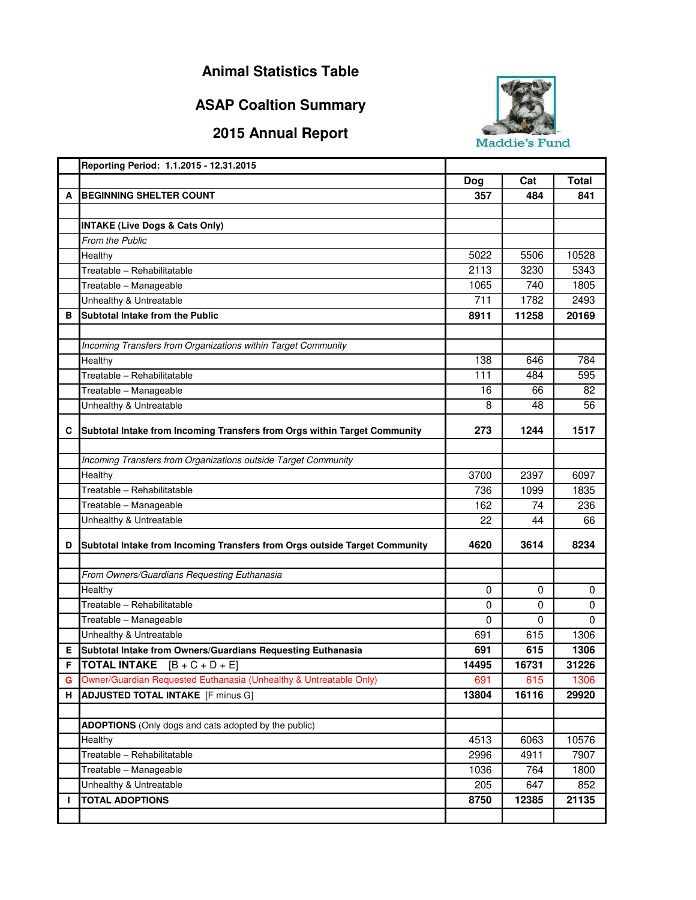## **Animal Statistics Table**

## **ASAP Coaltion Summary**

## **2015 Annual Report**



|    | Reporting Period: 1.1.2015 - 12.31.2015                                    |             |          |              |
|----|----------------------------------------------------------------------------|-------------|----------|--------------|
|    |                                                                            | Dog         | Cat      | <b>Total</b> |
| A  | <b>BEGINNING SHELTER COUNT</b>                                             | 357         | 484      | 841          |
|    |                                                                            |             |          |              |
|    | <b>INTAKE (Live Dogs &amp; Cats Only)</b>                                  |             |          |              |
|    | From the Public                                                            |             |          |              |
|    | Healthy                                                                    | 5022        | 5506     | 10528        |
|    | Treatable - Rehabilitatable                                                | 2113        | 3230     | 5343         |
|    | Treatable - Manageable                                                     | 1065        | 740      | 1805         |
|    | Unhealthy & Untreatable                                                    | 711         | 1782     | 2493         |
| в  | Subtotal Intake from the Public                                            | 8911        | 11258    | 20169        |
|    |                                                                            |             |          |              |
|    | Incoming Transfers from Organizations within Target Community              |             |          |              |
|    | Healthy                                                                    | 138         | 646      | 784          |
|    | Treatable - Rehabilitatable                                                | 111         | 484      | 595          |
|    | Treatable - Manageable                                                     | 16          | 66       | 82           |
|    | Unhealthy & Untreatable                                                    | 8           | 48       | 56           |
|    |                                                                            |             |          |              |
| С  | Subtotal Intake from Incoming Transfers from Orgs within Target Community  | 273         | 1244     | 1517         |
|    |                                                                            |             |          |              |
|    | Incoming Transfers from Organizations outside Target Community             |             |          |              |
|    | Healthy                                                                    | 3700        | 2397     | 6097         |
|    | Treatable - Rehabilitatable                                                | 736         | 1099     | 1835         |
|    | Treatable - Manageable                                                     | 162         | 74       | 236          |
|    | Unhealthy & Untreatable                                                    | 22          | 44       | 66           |
| D  |                                                                            |             |          |              |
|    | Subtotal Intake from Incoming Transfers from Orgs outside Target Community | 4620        | 3614     | 8234         |
|    |                                                                            |             |          |              |
|    | From Owners/Guardians Requesting Euthanasia                                |             |          |              |
|    | Healthy                                                                    | 0           | 0        | 0            |
|    | Treatable - Rehabilitatable                                                | $\mathbf 0$ | $\Omega$ | $\mathbf 0$  |
|    | Treatable - Manageable                                                     | 0           | 0        | 0            |
|    | Unhealthy & Untreatable                                                    | 691         | 615      | 1306         |
| Е  | Subtotal Intake from Owners/Guardians Requesting Euthanasia                | 691         | 615      | 1306         |
| F  | <b>TOTAL INTAKE</b><br>$[B + C + D + E]$                                   | 14495       | 16731    | 31226        |
| G  | Owner/Guardian Requested Euthanasia (Unhealthy & Untreatable Only)         | 691         | 615      | 1306         |
| H. | <b>ADJUSTED TOTAL INTAKE</b> [F minus G]                                   | 13804       | 16116    | 29920        |
|    |                                                                            |             |          |              |
|    | ADOPTIONS (Only dogs and cats adopted by the public)                       |             |          |              |
|    | Healthy                                                                    | 4513        | 6063     | 10576        |
|    | Treatable - Rehabilitatable                                                | 2996        | 4911     | 7907         |
|    | Treatable - Manageable                                                     | 1036        | 764      | 1800         |
|    | Unhealthy & Untreatable                                                    | 205         | 647      | 852          |
| Н  | <b>TOTAL ADOPTIONS</b>                                                     | 8750        | 12385    | 21135        |
|    |                                                                            |             |          |              |
|    |                                                                            |             |          |              |